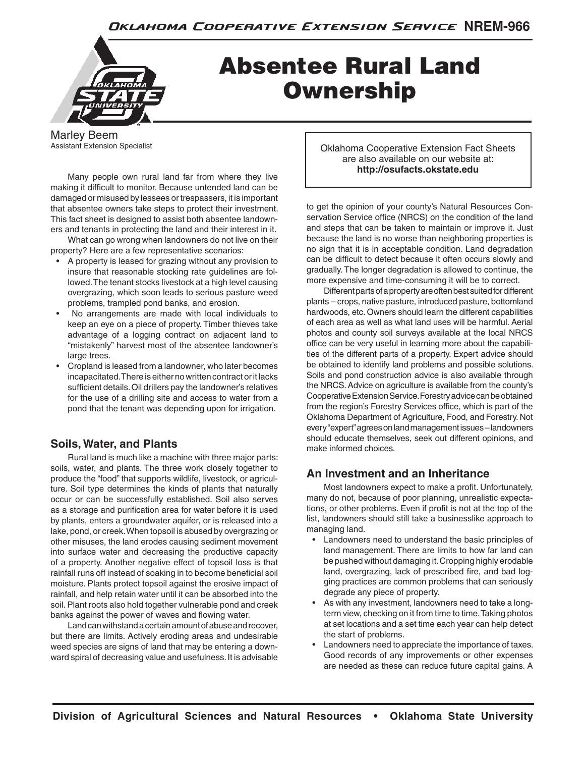

# Absentee Rural Land **Ownership**

Marley Beem Assistant Extension Specialist

 Many people own rural land far from where they live making it difficult to monitor. Because untended land can be damaged or misused by lessees or trespassers, it is important that absentee owners take steps to protect their investment. This fact sheet is designed to assist both absentee landowners and tenants in protecting the land and their interest in it.

 What can go wrong when landowners do not live on their property? Here are a few representative scenarios:

- A property is leased for grazing without any provision to insure that reasonable stocking rate guidelines are followed. The tenant stocks livestock at a high level causing overgrazing, which soon leads to serious pasture weed problems, trampled pond banks, and erosion.
- No arrangements are made with local individuals to keep an eye on a piece of property. Timber thieves take advantage of a logging contract on adjacent land to "mistakenly" harvest most of the absentee landowner's large trees.
- Cropland is leased from a landowner, who later becomes incapacitated. There is either no written contract or it lacks sufficient details. Oil drillers pay the landowner's relatives for the use of a drilling site and access to water from a pond that the tenant was depending upon for irrigation.

# **Soils, Water, and Plants**

 Rural land is much like a machine with three major parts: soils, water, and plants. The three work closely together to produce the "food" that supports wildlife, livestock, or agriculture. Soil type determines the kinds of plants that naturally occur or can be successfully established. Soil also serves as a storage and purification area for water before it is used by plants, enters a groundwater aquifer, or is released into a lake, pond, or creek. When topsoil is abused by overgrazing or other misuses, the land erodes causing sediment movement into surface water and decreasing the productive capacity of a property. Another negative effect of topsoil loss is that rainfall runs off instead of soaking in to become beneficial soil moisture. Plants protect topsoil against the erosive impact of rainfall, and help retain water until it can be absorbed into the soil. Plant roots also hold together vulnerable pond and creek banks against the power of waves and flowing water.

 Land can withstand a certain amount of abuse and recover, but there are limits. Actively eroding areas and undesirable weed species are signs of land that may be entering a downward spiral of decreasing value and usefulness. It is advisable

Oklahoma Cooperative Extension Fact Sheets are also available on our website at: **http://osufacts.okstate.edu**

to get the opinion of your county's Natural Resources Conservation Service office (NRCS) on the condition of the land and steps that can be taken to maintain or improve it. Just because the land is no worse than neighboring properties is no sign that it is in acceptable condition. Land degradation can be difficult to detect because it often occurs slowly and gradually. The longer degradation is allowed to continue, the more expensive and time-consuming it will be to correct.

 Different parts of a property are often best suited for different plants – crops, native pasture, introduced pasture, bottomland hardwoods, etc. Owners should learn the different capabilities of each area as well as what land uses will be harmful. Aerial photos and county soil surveys available at the local NRCS office can be very useful in learning more about the capabilities of the different parts of a property. Expert advice should be obtained to identify land problems and possible solutions. Soils and pond construction advice is also available through the NRCS. Advice on agriculture is available from the county's Cooperative Extension Service. Forestry advice can be obtained from the region's Forestry Services office, which is part of the Oklahoma Department of Agriculture, Food, and Forestry. Not every "expert" agrees on land management issues – landowners should educate themselves, seek out different opinions, and make informed choices.

# **An Investment and an Inheritance**

 Most landowners expect to make a profit. Unfortunately, many do not, because of poor planning, unrealistic expectations, or other problems. Even if profit is not at the top of the list, landowners should still take a businesslike approach to managing land.

- Landowners need to understand the basic principles of land management. There are limits to how far land can be pushed without damaging it. Cropping highly erodable land, overgrazing, lack of prescribed fire, and bad logging practices are common problems that can seriously degrade any piece of property.
- As with any investment, landowners need to take a longterm view, checking on it from time to time. Taking photos at set locations and a set time each year can help detect the start of problems.
- Landowners need to appreciate the importance of taxes. Good records of any improvements or other expenses are needed as these can reduce future capital gains. A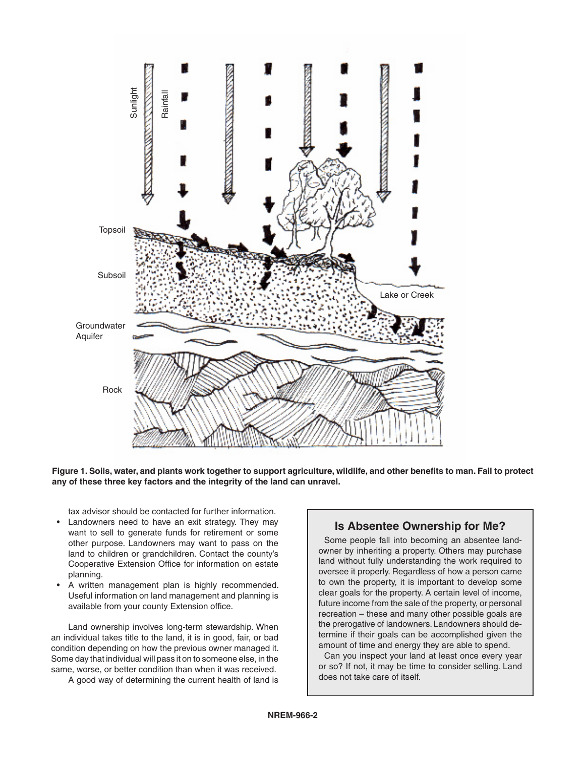

**Figure 1. Soils, water, and plants work together to support agriculture, wildlife, and other benefits to man. Fail to protect any of these three key factors and the integrity of the land can unravel.**

tax advisor should be contacted for further information.

- Landowners need to have an exit strategy. They may want to sell to generate funds for retirement or some other purpose. Landowners may want to pass on the land to children or grandchildren. Contact the county's Cooperative Extension Office for information on estate planning.
- A written management plan is highly recommended. Useful information on land management and planning is available from your county Extension office.

 Land ownership involves long-term stewardship. When an individual takes title to the land, it is in good, fair, or bad condition depending on how the previous owner managed it. Some day that individual will pass it on to someone else, in the same, worse, or better condition than when it was received.

A good way of determining the current health of land is

## **Is Absentee Ownership for Me?**

 Some people fall into becoming an absentee landowner by inheriting a property. Others may purchase land without fully understanding the work required to oversee it properly. Regardless of how a person came to own the property, it is important to develop some clear goals for the property. A certain level of income, future income from the sale of the property, or personal recreation – these and many other possible goals are the prerogative of landowners. Landowners should determine if their goals can be accomplished given the amount of time and energy they are able to spend.

 Can you inspect your land at least once every year or so? If not, it may be time to consider selling. Land does not take care of itself.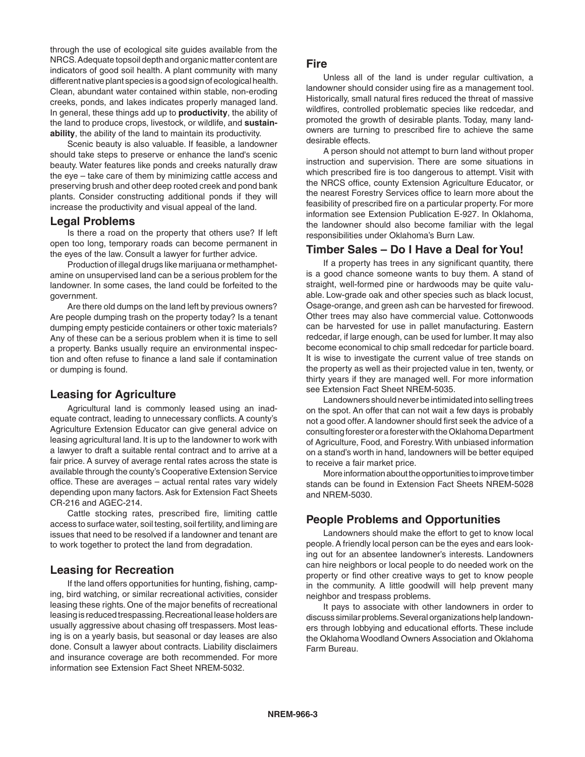through the use of ecological site guides available from the NRCS. Adequate topsoil depth and organic matter content are indicators of good soil health. A plant community with many different native plant species is a good sign of ecological health. Clean, abundant water contained within stable, non-eroding creeks, ponds, and lakes indicates properly managed land. In general, these things add up to **productivity**, the ability of the land to produce crops, livestock, or wildlife, and **sustainability**, the ability of the land to maintain its productivity.

 Scenic beauty is also valuable. If feasible, a landowner should take steps to preserve or enhance the land's scenic beauty. Water features like ponds and creeks naturally draw the eye – take care of them by minimizing cattle access and preserving brush and other deep rooted creek and pond bank plants. Consider constructing additional ponds if they will increase the productivity and visual appeal of the land.

#### **Legal Problems**

 Is there a road on the property that others use? If left open too long, temporary roads can become permanent in the eyes of the law. Consult a lawyer for further advice.

 Production of illegal drugs like marijuana or methamphetamine on unsupervised land can be a serious problem for the landowner. In some cases, the land could be forfeited to the government.

 Are there old dumps on the land left by previous owners? Are people dumping trash on the property today? Is a tenant dumping empty pesticide containers or other toxic materials? Any of these can be a serious problem when it is time to sell a property. Banks usually require an environmental inspection and often refuse to finance a land sale if contamination or dumping is found.

## **Leasing for Agriculture**

 Agricultural land is commonly leased using an inadequate contract, leading to unnecessary conflicts. A county's Agriculture Extension Educator can give general advice on leasing agricultural land. It is up to the landowner to work with a lawyer to draft a suitable rental contract and to arrive at a fair price. A survey of average rental rates across the state is available through the county's Cooperative Extension Service office. These are averages – actual rental rates vary widely depending upon many factors. Ask for Extension Fact Sheets CR-216 and AGEC-214.

 Cattle stocking rates, prescribed fire, limiting cattle access to surface water, soil testing, soil fertility, and liming are issues that need to be resolved if a landowner and tenant are to work together to protect the land from degradation.

## **Leasing for Recreation**

 If the land offers opportunities for hunting, fishing, camping, bird watching, or similar recreational activities, consider leasing these rights. One of the major benefits of recreational leasing is reduced trespassing. Recreational lease holders are usually aggressive about chasing off trespassers. Most leasing is on a yearly basis, but seasonal or day leases are also done. Consult a lawyer about contracts. Liability disclaimers and insurance coverage are both recommended. For more information see Extension Fact Sheet NREM-5032.

#### **Fire**

 Unless all of the land is under regular cultivation, a landowner should consider using fire as a management tool. Historically, small natural fires reduced the threat of massive wildfires, controlled problematic species like redcedar, and promoted the growth of desirable plants. Today, many landowners are turning to prescribed fire to achieve the same desirable effects.

 A person should not attempt to burn land without proper instruction and supervision. There are some situations in which prescribed fire is too dangerous to attempt. Visit with the NRCS office, county Extension Agriculture Educator, or the nearest Forestry Services office to learn more about the feasibility of prescribed fire on a particular property. For more information see Extension Publication E-927. In Oklahoma, the landowner should also become familiar with the legal responsibilities under Oklahoma's Burn Law.

#### **Timber Sales – Do I Have a Deal for You!**

 If a property has trees in any significant quantity, there is a good chance someone wants to buy them. A stand of straight, well-formed pine or hardwoods may be quite valuable. Low-grade oak and other species such as black locust, Osage-orange, and green ash can be harvested for firewood. Other trees may also have commercial value. Cottonwoods can be harvested for use in pallet manufacturing. Eastern redcedar, if large enough, can be used for lumber. It may also become economical to chip small redcedar for particle board. It is wise to investigate the current value of tree stands on the property as well as their projected value in ten, twenty, or thirty years if they are managed well. For more information see Extension Fact Sheet NREM-5035.

 Landowners should never be intimidated into selling trees on the spot. An offer that can not wait a few days is probably not a good offer. A landowner should first seek the advice of a consulting forester or a forester with the Oklahoma Department of Agriculture, Food, and Forestry. With unbiased information on a stand's worth in hand, landowners will be better equiped to receive a fair market price.

 More information about the opportunities to improve timber stands can be found in Extension Fact Sheets NREM-5028 and NREM-5030.

## **People Problems and Opportunities**

 Landowners should make the effort to get to know local people. A friendly local person can be the eyes and ears looking out for an absentee landowner's interests. Landowners can hire neighbors or local people to do needed work on the property or find other creative ways to get to know people in the community. A little goodwill will help prevent many neighbor and trespass problems.

 It pays to associate with other landowners in order to discuss similar problems. Several organizations help landowners through lobbying and educational efforts. These include the Oklahoma Woodland Owners Association and Oklahoma Farm Bureau.